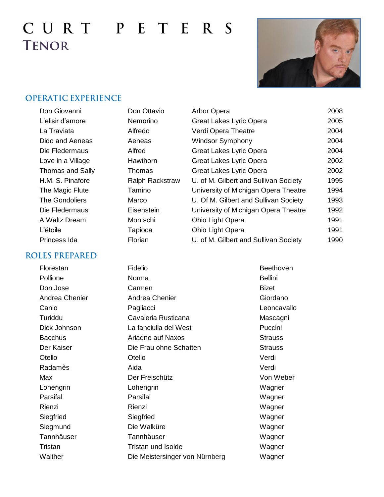# CURT PETERS TENOR



# **OPERATIC EXPERIENCE**

| Don Giovanni            |
|-------------------------|
| L'elisir d'amore        |
| La Traviata             |
| Dido and Aeneas         |
| Die Fledermaus          |
| Love in a Village       |
| <b>Thomas and Sally</b> |
| H.M. S. Pinafore        |
| The Magic Flute         |
| <b>The Gondoliers</b>   |
| Die Fledermaus          |
| A Waltz Dream           |
| L'étoile                |
| Princess Ida            |

# **ROLES PREPARED**

| Don Ottavio     |
|-----------------|
| Nemorino        |
| Alfredo         |
| Aeneas          |
| Alfred          |
| Hawthorn        |
| Thomas          |
| Ralph Rackstraw |
| Tamino          |
| Marco           |
| Eisenstein      |
| Montschi        |
| Tapioca         |
| Florian         |
|                 |

| <b>Arbor Opera</b>                    | 2008 |
|---------------------------------------|------|
| <b>Great Lakes Lyric Opera</b>        | 2005 |
| Verdi Opera Theatre                   | 2004 |
| <b>Windsor Symphony</b>               | 2004 |
| <b>Great Lakes Lyric Opera</b>        | 2004 |
| <b>Great Lakes Lyric Opera</b>        | 2002 |
| <b>Great Lakes Lyric Opera</b>        | 2002 |
| U. of M. Gilbert and Sullivan Society | 1995 |
| University of Michigan Opera Theatre  | 1994 |
| U. Of M. Gilbert and Sullivan Society | 1993 |
| University of Michigan Opera Theatre  | 1992 |
| Ohio Light Opera                      | 1991 |
| Ohio Light Opera                      | 1991 |
| U. of M. Gilbert and Sullivan Society | 1990 |

| Florestan      | Fidelio                        | <b>Beethoven</b> |
|----------------|--------------------------------|------------------|
| Pollione       | Norma                          | <b>Bellini</b>   |
| Don Jose       | Carmen                         | <b>Bizet</b>     |
| Andrea Chenier | Andrea Chenier                 | Giordano         |
| Canio          | Pagliacci                      | Leoncavallo      |
| Turiddu        | Cavaleria Rusticana            | Mascagni         |
| Dick Johnson   | La fanciulla del West          | Puccini          |
| <b>Bacchus</b> | Ariadne auf Naxos              | <b>Strauss</b>   |
| Der Kaiser     | Die Frau ohne Schatten         | <b>Strauss</b>   |
| Otello         | Otello                         | Verdi            |
| Radamès        | Aida                           | Verdi            |
| Max            | Der Freischütz                 | Von Weber        |
| Lohengrin      | Lohengrin                      | Wagner           |
| Parsifal       | Parsifal                       | Wagner           |
| Rienzi         | Rienzi                         | Wagner           |
| Siegfried      | Siegfried                      | Wagner           |
| Siegmund       | Die Walküre                    | Wagner           |
| Tannhäuser     | Tannhäuser                     | Wagner           |
| Tristan        | Tristan und Isolde             | Wagner           |
| Walther        | Die Meistersinger von Nürnberg | Wagner           |